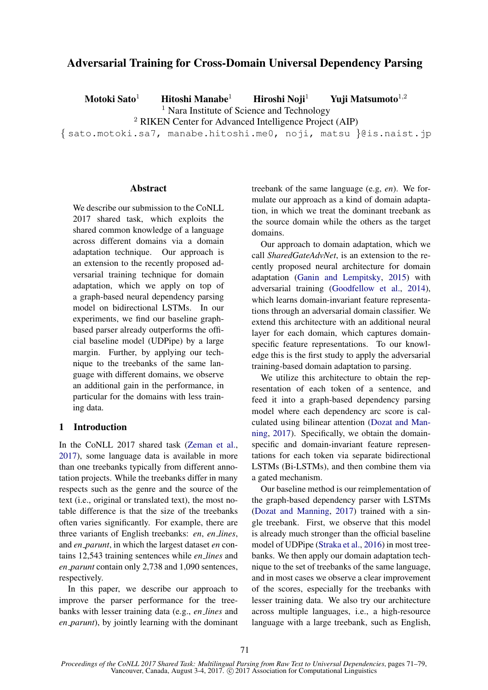# Adversarial Training for Cross-Domain Universal Dependency Parsing

Motoki Sato<sup>1</sup> Hitoshi Manabe<sup>1</sup> Hiroshi Noji<sup>1</sup> Yuji Matsumoto<sup>1,2</sup> <sup>1</sup> Nara Institute of Science and Technology <sup>2</sup> RIKEN Center for Advanced Intelligence Project (AIP) { sato.motoki.sa7, manabe.hitoshi.me0, noji, matsu }@is.naist.jp

## **Abstract**

We describe our submission to the CoNLL 2017 shared task, which exploits the shared common knowledge of a language across different domains via a domain adaptation technique. Our approach is an extension to the recently proposed adversarial training technique for domain adaptation, which we apply on top of a graph-based neural dependency parsing model on bidirectional LSTMs. In our experiments, we find our baseline graphbased parser already outperforms the official baseline model (UDPipe) by a large margin. Further, by applying our technique to the treebanks of the same language with different domains, we observe an additional gain in the performance, in particular for the domains with less training data.

## 1 Introduction

In the CoNLL 2017 shared task (Zeman et al., 2017), some language data is available in more than one treebanks typically from different annotation projects. While the treebanks differ in many respects such as the genre and the source of the text (i.e., original or translated text), the most notable difference is that the size of the treebanks often varies significantly. For example, there are three variants of English treebanks: *en*, *en lines*, and *en parunt*, in which the largest dataset *en* contains 12,543 training sentences while *en lines* and *en parunt* contain only 2,738 and 1,090 sentences, respectively.

In this paper, we describe our approach to improve the parser performance for the treebanks with lesser training data (e.g., *en lines* and *en parunt*), by jointly learning with the dominant treebank of the same language (e.g, *en*). We formulate our approach as a kind of domain adaptation, in which we treat the dominant treebank as the source domain while the others as the target domains.

Our approach to domain adaptation, which we call *SharedGateAdvNet*, is an extension to the recently proposed neural architecture for domain adaptation (Ganin and Lempitsky, 2015) with adversarial training (Goodfellow et al., 2014), which learns domain-invariant feature representations through an adversarial domain classifier. We extend this architecture with an additional neural layer for each domain, which captures domainspecific feature representations. To our knowledge this is the first study to apply the adversarial training-based domain adaptation to parsing.

We utilize this architecture to obtain the representation of each token of a sentence, and feed it into a graph-based dependency parsing model where each dependency arc score is calculated using bilinear attention (Dozat and Manning, 2017). Specifically, we obtain the domainspecific and domain-invariant feature representations for each token via separate bidirectional LSTMs (Bi-LSTMs), and then combine them via a gated mechanism.

Our baseline method is our reimplementation of the graph-based dependency parser with LSTMs (Dozat and Manning, 2017) trained with a single treebank. First, we observe that this model is already much stronger than the official baseline model of UDPipe (Straka et al., 2016) in most treebanks. We then apply our domain adaptation technique to the set of treebanks of the same language, and in most cases we observe a clear improvement of the scores, especially for the treebanks with lesser training data. We also try our architecture across multiple languages, i.e., a high-resource language with a large treebank, such as English,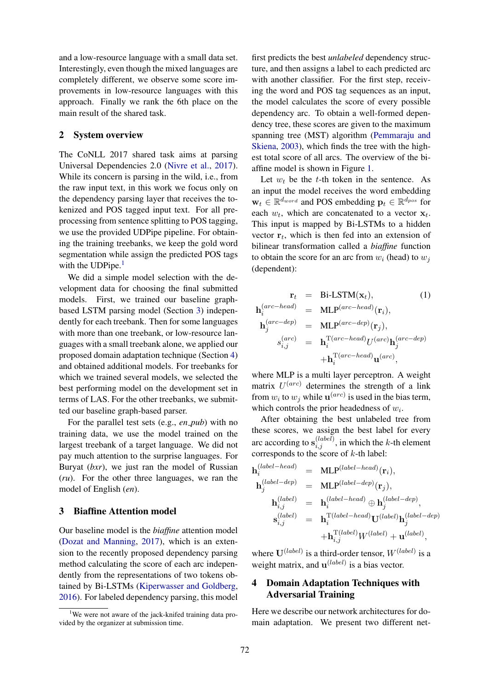and a low-resource language with a small data set. Interestingly, even though the mixed languages are completely different, we observe some score improvements in low-resource languages with this approach. Finally we rank the 6th place on the main result of the shared task.

### 2 System overview

The CoNLL 2017 shared task aims at parsing Universal Dependencies 2.0 (Nivre et al., 2017). While its concern is parsing in the wild, i.e., from the raw input text, in this work we focus only on the dependency parsing layer that receives the tokenized and POS tagged input text. For all preprocessing from sentence splitting to POS tagging, we use the provided UDPipe pipeline. For obtaining the training treebanks, we keep the gold word segmentation while assign the predicted POS tags with the UDPipe. $<sup>1</sup>$ </sup>

We did a simple model selection with the development data for choosing the final submitted models. First, we trained our baseline graphbased LSTM parsing model (Section 3) independently for each treebank. Then for some languages with more than one treebank, or low-resource languages with a small treebank alone, we applied our proposed domain adaptation technique (Section 4) and obtained additional models. For treebanks for which we trained several models, we selected the best performing model on the development set in terms of LAS. For the other treebanks, we submitted our baseline graph-based parser.

For the parallel test sets (e.g., *en pub*) with no training data, we use the model trained on the largest treebank of a target language. We did not pay much attention to the surprise languages. For Buryat (*bxr*), we just ran the model of Russian (*ru*). For the other three languages, we ran the model of English (*en*).

## 3 Biaffine Attention model

Our baseline model is the *biaffine* attention model (Dozat and Manning, 2017), which is an extension to the recently proposed dependency parsing method calculating the score of each arc independently from the representations of two tokens obtained by Bi-LSTMs (Kiperwasser and Goldberg, 2016). For labeled dependency parsing, this model

first predicts the best *unlabeled* dependency structure, and then assigns a label to each predicted arc with another classifier. For the first step, receiving the word and POS tag sequences as an input, the model calculates the score of every possible dependency arc. To obtain a well-formed dependency tree, these scores are given to the maximum spanning tree (MST) algorithm (Pemmaraju and Skiena, 2003), which finds the tree with the highest total score of all arcs. The overview of the biaffine model is shown in Figure 1.

Let  $w_t$  be the t-th token in the sentence. As an input the model receives the word embedding  $\mathbf{w}_t \in \mathbb{R}^{d_{word}}$  and POS embedding  $\mathbf{p}_t \in \mathbb{R}^{d_{pos}}$  for each  $w_t$ , which are concatenated to a vector  $\mathbf{x}_t$ . This input is mapped by Bi-LSTMs to a hidden vector  $r_t$ , which is then fed into an extension of bilinear transformation called a *biaffine* function to obtain the score for an arc from  $w_i$  (head) to  $w_i$ (dependent):

$$
\mathbf{r}_{t} = \text{Bi-LSTM}(\mathbf{x}_{t}), \qquad (1)
$$
\n
$$
\mathbf{h}_{i}^{(arc-head)} = \text{MLP}^{(arc-head)}(\mathbf{r}_{i}),
$$
\n
$$
\mathbf{h}_{j}^{(arc-dep)} = \text{MLP}^{(arc-dep)}(\mathbf{r}_{j}),
$$
\n
$$
s_{i,j}^{(arc)} = \mathbf{h}_{i}^{\text{T}(arc-head)}U^{(arc)}\mathbf{h}_{j}^{(arc-dep)}
$$
\n
$$
+ \mathbf{h}_{i}^{\text{T}(arc-head)}\mathbf{u}^{(arc)},
$$
\n(1)

where MLP is a multi layer perceptron. A weight matrix  $U^{(arc)}$  determines the strength of a link from  $w_i$  to  $w_j$  while  $\mathbf{u}^{(arc)}$  is used in the bias term, which controls the prior headedness of  $w_i$ .

After obtaining the best unlabeled tree from these scores, we assign the best label for every arc according to  $s_{i,j}^{(label)}$ , in which the k-th element corresponds to the score of  $k$ -th label:

$$
\begin{array}{rcl} \mathbf{h}^{(label-head)}_i & = & \mathrm{MLP}^{(label-head)}(\mathbf{r}_i), \\ \mathbf{h}^{(label-dep)}_j & = & \mathrm{MLP}^{(label-dep)}(\mathbf{r}_j), \\ \mathbf{h}^{(label-dep)}_j & = & \mathrm{MLP}^{(label-dep)}(\mathbf{r}_j), \\ \mathbf{h}^{(label)}_{i,j} & = & \mathbf{h}^{(label-head)}_i \oplus \mathbf{h}^{(label-dep)}_j, \\ \mathbf{s}^{(label)}_{i,j} & = & \mathbf{h}^{\mathrm{T}(label-head)}_i \mathbf{U}^{(label-dep)}(\mathbf{h}^{(label-dep)}_{j}, \\ \mathbf{s}^{(label)}_{i,j} & = & \mathbf{h}^{\mathrm{T}(label-head)}_i \mathbf{U}^{(label-dep)}(\mathbf{h}^{(label-dep)}_{j}, \\ \mathbf{s}^{(label)}_{i,j} & = & \mathbf{h}^{\mathrm{T}(label-head)}_i \mathbf{U}^{(label)}(\mathbf{h}^{(label-dep)}_{i,j}, \\ \mathbf{h}^{\mathrm{T}(labelhead)}_{i,j} & = & \mathbf{h}^{\mathrm{T}(label-head)}_i \mathbf{U}^{(label)}(\mathbf{h}^{(label-dep)}_{i,j}, \end{array}
$$

where  $U^{(label)}$  is a third-order tensor,  $W^{(label)}$  is a weight matrix, and  $\mathbf{u}^{(label)}$  is a bias vector.

# 4 Domain Adaptation Techniques with Adversarial Training

Here we describe our network architectures for domain adaptation. We present two different net-

<sup>&</sup>lt;sup>1</sup>We were not aware of the jack-knifed training data provided by the organizer at submission time.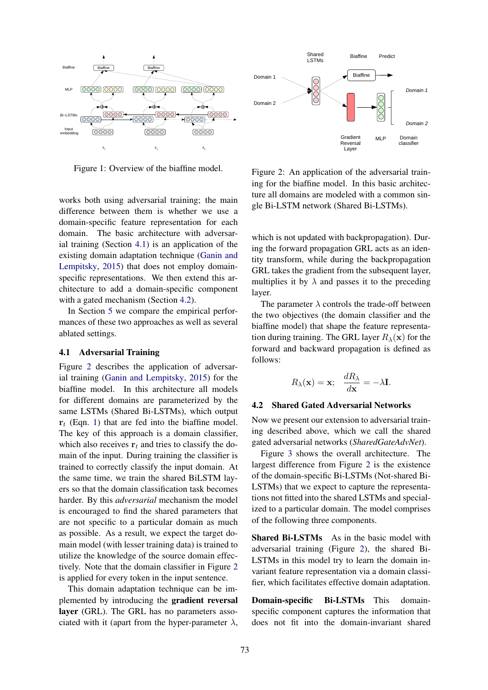

Figure 1: Overview of the biaffine model.

works both using adversarial training; the main difference between them is whether we use a domain-specific feature representation for each domain. The basic architecture with adversarial training (Section 4.1) is an application of the existing domain adaptation technique (Ganin and Lempitsky, 2015) that does not employ domainspecific representations. We then extend this architecture to add a domain-specific component with a gated mechanism (Section 4.2).

In Section 5 we compare the empirical performances of these two approaches as well as several ablated settings.

#### 4.1 Adversarial Training

Figure 2 describes the application of adversarial training (Ganin and Lempitsky, 2015) for the biaffine model. In this architecture all models for different domains are parameterized by the same LSTMs (Shared Bi-LSTMs), which output  $r_t$  (Eqn. 1) that are fed into the biaffine model. The key of this approach is a domain classifier, which also receives  $r_t$  and tries to classify the domain of the input. During training the classifier is trained to correctly classify the input domain. At the same time, we train the shared BiLSTM layers so that the domain classification task becomes harder. By this *adversarial* mechanism the model is encouraged to find the shared parameters that are not specific to a particular domain as much as possible. As a result, we expect the target domain model (with lesser training data) is trained to utilize the knowledge of the source domain effectively. Note that the domain classifier in Figure 2 is applied for every token in the input sentence.

This domain adaptation technique can be implemented by introducing the gradient reversal layer (GRL). The GRL has no parameters associated with it (apart from the hyper-parameter  $\lambda$ ,



Figure 2: An application of the adversarial training for the biaffine model. In this basic architecture all domains are modeled with a common single Bi-LSTM network (Shared Bi-LSTMs).

which is not updated with backpropagation). During the forward propagation GRL acts as an identity transform, while during the backpropagation GRL takes the gradient from the subsequent layer, multiplies it by  $\lambda$  and passes it to the preceding layer.

The parameter  $\lambda$  controls the trade-off between the two objectives (the domain classifier and the biaffine model) that shape the feature representation during training. The GRL layer  $R_{\lambda}(\mathbf{x})$  for the forward and backward propagation is defined as follows:

$$
R_{\lambda}(\mathbf{x}) = \mathbf{x}; \quad \frac{dR_{\lambda}}{d\mathbf{x}} = -\lambda \mathbf{I}.
$$

#### 4.2 Shared Gated Adversarial Networks

Now we present our extension to adversarial training described above, which we call the shared gated adversarial networks (*SharedGateAdvNet*).

Figure 3 shows the overall architecture. The largest difference from Figure 2 is the existence of the domain-specific Bi-LSTMs (Not-shared Bi-LSTMs) that we expect to capture the representations not fitted into the shared LSTMs and specialized to a particular domain. The model comprises of the following three components.

Shared Bi-LSTMs As in the basic model with adversarial training (Figure 2), the shared Bi-LSTMs in this model try to learn the domain invariant feature representation via a domain classifier, which facilitates effective domain adaptation.

Domain-specific Bi-LSTMs This domainspecific component captures the information that does not fit into the domain-invariant shared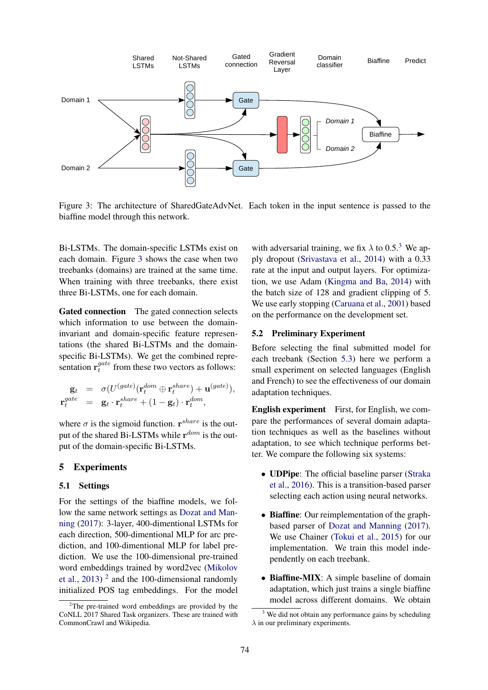

Figure 3: The architecture of SharedGateAdvNet. Each token in the input sentence is passed to the biaffine model through this network.

Bi-LSTMs. The domain-specific LSTMs exist on each domain. Figure 3 shows the case when two treebanks (domains) are trained at the same time. When training with three treebanks, there exist three Bi-LSTMs, one for each domain.

Gated connection The gated connection selects which information to use between the domaininvariant and domain-specific feature representations (the shared Bi-LSTMs and the domainspecific Bi-LSTMs). We get the combined representation  $\mathbf{r}^{gate}_t$  $t_t^{gate}$  from these two vectors as follows:

$$
\begin{array}{rcl}\mathbf{g}_t &=& \sigma(U^{(gate)}(\mathbf{r}_t^{dom} \oplus \mathbf{r}_t^{share}) + \mathbf{u}^{(gate)}), \\
\mathbf{r}_t^{gate} &=& \mathbf{g}_t \cdot \mathbf{r}_t^{share} + (1 - \mathbf{g}_t) \cdot \mathbf{r}_t^{dom},\n\end{array}
$$

where  $\sigma$  is the sigmoid function.  $\mathbf{r}^{share}$  is the output of the shared Bi-LSTMs while  $\mathbf{r}^{dom}$  is the output of the domain-specific Bi-LSTMs.

## 5 Experiments

#### 5.1 Settings

For the settings of the biaffine models, we follow the same network settings as Dozat and Manning (2017): 3-layer, 400-dimentional LSTMs for each direction, 500-dimentional MLP for arc prediction, and 100-dimentional MLP for label prediction. We use the 100-dimensional pre-trained word embeddings trained by word2vec (Mikolov et al., 2013)<sup>2</sup> and the 100-dimensional randomly initialized POS tag embeddings. For the model

with adversarial training, we fix  $\lambda$  to 0.5.<sup>3</sup> We apply dropout (Srivastava et al., 2014) with a 0.33 rate at the input and output layers. For optimization, we use Adam (Kingma and Ba, 2014) with the batch size of 128 and gradient clipping of 5. We use early stopping (Caruana et al., 2001) based on the performance on the development set.

#### 5.2 Preliminary Experiment

Before selecting the final submitted model for each treebank (Section 5.3) here we perform a small experiment on selected languages (English and French) to see the effectiveness of our domain adaptation techniques.

English experiment First, for English, we compare the performances of several domain adaptation techniques as well as the baselines without adaptation, to see which technique performs better. We compare the following six systems:

- UDPipe: The official baseline parser (Straka et al., 2016). This is a transition-based parser selecting each action using neural networks.
- Biaffine: Our reimplementation of the graphbased parser of Dozat and Manning (2017). We use Chainer (Tokui et al., 2015) for our implementation. We train this model independently on each treebank.
- Biaffine-MIX: A simple baseline of domain adaptation, which just trains a single biaffine model across different domains. We obtain

 $2$ The pre-trained word embeddings are provided by the CoNLL 2017 Shared Task organizers. These are trained with CommonCrawl and Wikipedia.

 $3$  We did not obtain any performance gains by scheduling  $\lambda$  in our preliminary experiments.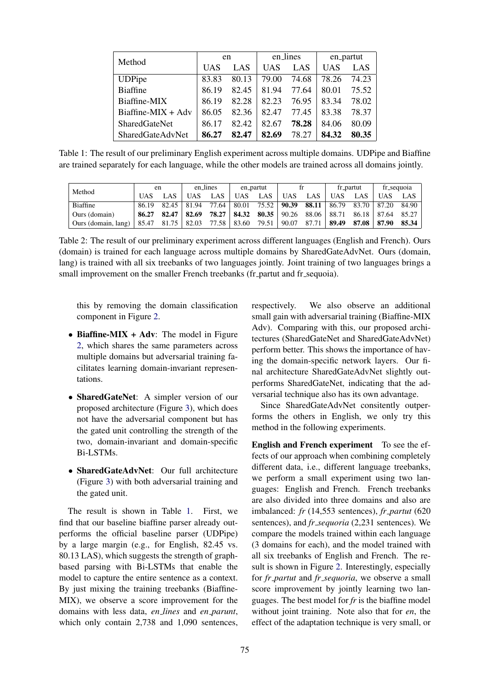| Method                  |       | en    |            | en_lines   | en_partut  |       |  |
|-------------------------|-------|-------|------------|------------|------------|-------|--|
|                         | UAS   | LAS   | <b>UAS</b> | <b>LAS</b> | <b>UAS</b> | LAS   |  |
| <b>UDPipe</b>           | 83.83 | 80.13 | 79.00      | 74.68      | 78.26      | 74.23 |  |
| <b>Biaffine</b>         | 86.19 | 82.45 | 81.94      | 77.64      | 80.01      | 75.52 |  |
| Biaffine-MIX            | 86.19 | 82.28 | 82.23      | 76.95      | 83.34      | 78.02 |  |
| Biaffine-MIX + $Adv$    | 86.05 | 82.36 | 82.47      | 77.45      | 83.38      | 78.37 |  |
| <b>SharedGateNet</b>    | 86.17 | 82.42 | 82.67      | 78.28      | 84.06      | 80.09 |  |
| <b>SharedGateAdvNet</b> | 86.27 | 82.47 | 82.69      | 78.27      | 84.32      | 80.35 |  |

Table 1: The result of our preliminary English experiment across multiple domains. UDPipe and Biaffine are trained separately for each language, while the other models are trained across all domains jointly.

| Method              | en    |       | en_lines |       | en_partut  |         |       |         | fr_partut |       | fr_sequoia |       |
|---------------------|-------|-------|----------|-------|------------|---------|-------|---------|-----------|-------|------------|-------|
|                     | UAS   | LAS   | UAS      | LAS   | <b>UAS</b> | LAS     | JAS   | LAS     | UAS       | LAS   | UAS        | LAS   |
| Biaffine            | 86.19 | 82.45 | 81.94    | 77.64 | 80.01      | 75.52   | 90.39 | 88.11 l | 86.79     | 83.70 | 87.20      | 84.90 |
| Ours (domain)       | 86.27 | 82.47 | 82.69    | 78.27 | 84.32      | $80.35$ | 90.26 | 88.06   | 88.71     | 86.18 | 87.64      | 85.27 |
| Ours (domain, lang) | 85.47 | 81.75 | 82.03    | 77.58 | 83.60      | 79.51   | 90.07 | 87.71   | 89.49     | 87.08 | 87.90      | 85.34 |

Table 2: The result of our preliminary experiment across different languages (English and French). Ours (domain) is trained for each language across multiple domains by SharedGateAdvNet. Ours (domain, lang) is trained with all six treebanks of two languages jointly. Joint training of two languages brings a small improvement on the smaller French treebanks (fr\_partut and fr\_sequoia).

this by removing the domain classification component in Figure 2.

- Biaffine-MIX + Adv: The model in Figure 2, which shares the same parameters across multiple domains but adversarial training facilitates learning domain-invariant representations.
- SharedGateNet: A simpler version of our proposed architecture (Figure 3), which does not have the adversarial component but has the gated unit controlling the strength of the two, domain-invariant and domain-specific Bi-LSTMs.
- SharedGateAdvNet: Our full architecture (Figure 3) with both adversarial training and the gated unit.

The result is shown in Table 1. First, we find that our baseline biaffine parser already outperforms the official baseline parser (UDPipe) by a large margin (e.g., for English, 82.45 vs. 80.13 LAS), which suggests the strength of graphbased parsing with Bi-LSTMs that enable the model to capture the entire sentence as a context. By just mixing the training treebanks (Biaffine-MIX), we observe a score improvement for the domains with less data, *en lines* and *en parunt*, which only contain 2,738 and 1,090 sentences,

respectively. We also observe an additional small gain with adversarial training (Biaffine-MIX Adv). Comparing with this, our proposed architectures (SharedGateNet and SharedGateAdvNet) perform better. This shows the importance of having the domain-specific network layers. Our final architecture SharedGateAdvNet slightly outperforms SharedGateNet, indicating that the adversarial technique also has its own advantage.

Since SharedGateAdvNet consitently outperforms the others in English, we only try this method in the following experiments.

English and French experiment To see the effects of our approach when combining completely different data, i.e., different language treebanks, we perform a small experiment using two languages: English and French. French treebanks are also divided into three domains and also are imbalanced: *fr* (14,553 sentences), *fr partut* (620 sentences), and *fr sequoria* (2,231 sentences). We compare the models trained within each language (3 domains for each), and the model trained with all six treebanks of English and French. The result is shown in Figure 2. Interestingly, especially for *fr partut* and *fr sequoria*, we observe a small score improvement by jointly learning two languages. The best model for *fr* is the biaffine model without joint training. Note also that for *en*, the effect of the adaptation technique is very small, or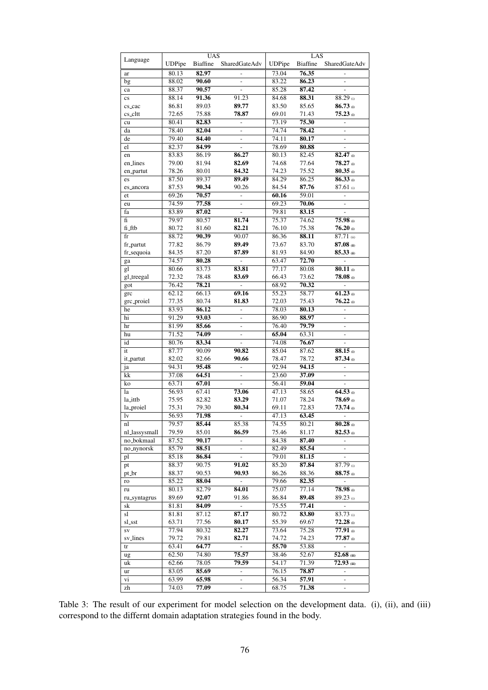|                        |               | <b>UAS</b>      |                              | LAS                |                 |                          |  |  |
|------------------------|---------------|-----------------|------------------------------|--------------------|-----------------|--------------------------|--|--|
| Language               | <b>UDPipe</b> | <b>Biaffine</b> | SharedGateAdv                | <b>UDPipe</b>      | <b>Biaffine</b> | <b>SharedGateAdv</b>     |  |  |
|                        |               |                 |                              |                    |                 |                          |  |  |
| ar                     | 80.13         | 82.97           |                              | 73.04              | 76.35           |                          |  |  |
| bg                     | 88.02         | 90.60           | $\overline{a}$               | 83.22              | 86.23           | $\overline{a}$           |  |  |
| ca                     | 88.37         | 90.57           | $\overline{a}$               | 85.28              | 87.42           | $\overline{a}$           |  |  |
| $\mathbf{c}\mathbf{s}$ | 88.14         | 91.36           | 91.23                        | 84.68              | 88.31           | 88.29 (i)                |  |  |
| cs_cac                 | 86.81         | 89.03           | 89.77                        | 83.50              | 85.65           | $86.73$ (i)              |  |  |
| cs_cltt                | 72.65         | 75.88           | 78.87                        | 69.01              | 71.43           | $75.23$ (i)              |  |  |
|                        | 80.41         | 82.83           | $\overline{a}$               | 73.19              | 75.30           | $\overline{a}$           |  |  |
| cu                     |               |                 |                              |                    |                 |                          |  |  |
| da                     | 78.40         | 82.04           | $\overline{\phantom{a}}$     | 74.74              | 78.42           | $\overline{a}$           |  |  |
| de                     | 79.40         | 84.40           | $\qquad \qquad \blacksquare$ | 74.11              | 80.17           | $\overline{\phantom{0}}$ |  |  |
| el                     | 82.37         | 84.99           | $\overline{a}$               | 78.69              | 80.88           |                          |  |  |
| en                     | 83.83         | 86.19           | 86.27                        | 80.13              | 82.45           | 82.47 (i)                |  |  |
| en_lines               | 79.00         | 81.94           | 82.69                        | 74.68              | 77.64           | $78.27$ (i)              |  |  |
| en_partut              | 78.26         | 80.01           | 84.32                        | 74.23              | 75.52           | $80.35$ (i)              |  |  |
| es                     | 87.50         | 89.37           | 89.49                        | 84.29              | 86.25           | $86.33$ (i)              |  |  |
|                        | 87.53         | 90.34           | 90.26                        | 84.54              | 87.76           | $87.61$ (i)              |  |  |
| es_ancora              |               |                 |                              |                    |                 |                          |  |  |
| et                     | 69.26         | 70.57           | $\overline{a}$               | 60.16              | 59.01           | $\overline{a}$           |  |  |
| eu                     | 74.59         | 77.58           | $\qquad \qquad \blacksquare$ | 69.23              | 70.06           | -                        |  |  |
| fa                     | 83.89         | 87.02           | $\overline{a}$               | 79.81              | 83.15           |                          |  |  |
| fi                     | 79.97         | 80.57           | 81.74                        | 75.37              | 74.62           | $75.98$ (i)              |  |  |
| fi_ftb                 | 80.72         | 81.60           | 82.21                        | 76.10              | 75.38           | $76.20$ (i)              |  |  |
| fr                     | 88.72         | 90.39           | 90.07                        | 86.36              | 88.11           | $87.71$ (ii)             |  |  |
| fr_partut              | 77.82         | 86.79           | 89.49                        | 73.67              | 83.70           | $87.08$ (ii)             |  |  |
|                        |               |                 |                              |                    |                 |                          |  |  |
| fr_sequoia             | 84.35         | 87.20           | 87.89                        | 81.93              | 84.90           | $85.33$ (ii)             |  |  |
| ga                     | 74.57         | 80.28           | $\frac{1}{2}$                | 63.47              | 72.70           |                          |  |  |
| gl                     | 80.66         | 83.73           | 83.81                        | 77.17              | 80.08           | $80.11$ (i)              |  |  |
| gl_treegal             | 72.32         | 78.48           | 83.69                        | 66.43              | 73.62           | $78.08$ (i)              |  |  |
| got                    | 76.42         | 78.21           | $\overline{a}$               | 68.92              | 70.32           | $\overline{a}$           |  |  |
| grc                    | 62.12         | 66.13           | 69.16                        | 55.23              | 58.77           | $61.23$ (i)              |  |  |
| grc_proiel             | 77.35         | 80.74           | 81.83                        | 72.03              | 75.43           | $76.22$ (i)              |  |  |
| he                     | 83.93         | 86.12           |                              | 78.03              | 80.13           |                          |  |  |
|                        |               |                 |                              |                    |                 |                          |  |  |
| hi                     | 91.29         | 93.03           | $\frac{1}{2}$                | 86.90              | 88.97           | $\overline{a}$           |  |  |
| hr                     | 81.99         | 85.66           | $\overline{a}$               | 76.40              | 79.79           | $\overline{a}$           |  |  |
| hu                     | 71.52         | 74.09           | $\frac{1}{2}$                | 65.04              | 63.31           | $\overline{a}$           |  |  |
| id                     | 80.76         | 83.34           | $\frac{1}{2}$                | 74.08              | 76.67           | $\overline{a}$           |  |  |
| it                     | 87.77         | 90.09           | 90.82                        | 85.04              | 87.62           | $88.15$ (i)              |  |  |
| it_partut              | 82.02         | 82.66           | 90.66                        | 78.47              | 78.72           | $87.34$ (i)              |  |  |
| ja                     | 94.31         | 95.48           | $\overline{\phantom{a}}$     | 92.94              | 94.15           | $\overline{a}$           |  |  |
|                        |               | 64.51           |                              |                    |                 |                          |  |  |
| kk                     | 37.08         |                 | $\overline{a}$               | 23.60              | 37.09           | $\overline{a}$           |  |  |
| ko                     | 63.71         | 67.01           | $\overline{a}$               | $\overline{56.41}$ | 59.04           | $\overline{a}$           |  |  |
| la                     | 56.93         | 67.41           | 73.06                        | 47.13              | 58.65           | $64.53$ (i)              |  |  |
| la_ittb                | 75.95         | 82.82           | 83.29                        | 71.07              | 78.24           | $78.69$ (i)              |  |  |
| la_proiel              | 75.31         | 79.30           | 80.34                        | 69.11              | 72.83           | $73.74$ (i)              |  |  |
| lv                     | 56.93         | 71.98           | $\qquad \qquad \blacksquare$ | 47.13              | 63.45           | $\overline{\phantom{0}}$ |  |  |
| nl                     | 79.57         | 85.44           | 85.38                        | 74.55              | 80.21           | $80.28$ (i)              |  |  |
|                        | 79.59         | 85.01           |                              |                    | 81.17           | $82.53$ (i)              |  |  |
| nl_lassysmall          |               |                 | 86.59                        | 75.46              |                 |                          |  |  |
| no_bokmaal             | 87.52         | 90.17           | $\overline{\phantom{a}}$     | 84.38              | 87.40           | $\overline{\phantom{0}}$ |  |  |
| no_nynorsk             | 85.79         | 88.51           | $\frac{1}{2}$                | 82.49              | 85.54           | $\overline{a}$           |  |  |
| pl                     | 85.18         | 86.84           | $\overline{\phantom{0}}$     | 79.01              | 81.15           |                          |  |  |
| pt                     | 88.37         | 90.75           | 91.02                        | 85.20              | 87.84           | 87.79 (i)                |  |  |
| pt_br                  | 88.37         | 90.53           | 90.93                        | 86.26              | 88.36           | $88.75$ (i)              |  |  |
| ro                     | 85.22         | 88.04           | $\overline{a}$               | 79.66              | 82.35           |                          |  |  |
| ru                     | 80.13         | 82.79           | 84.01                        | 75.07              | 77.14           | $78.98$ (i)              |  |  |
| ru_syntagrus           | 89.69         | 92.07           | 91.86                        | 86.84              | 89.48           | $89.23$ (i)              |  |  |
|                        |               |                 |                              |                    |                 |                          |  |  |
| sk                     | 81.81         | 84.09           | $\overline{\phantom{a}}$     | 75.55              | 77.41           |                          |  |  |
| sl                     | 81.81         | 87.12           | 87.17                        | 80.72              | 83.80           | $83.73$ (i)              |  |  |
| sl_sst                 | 63.71         | 77.56           | 80.17                        | 55.39              | 69.67           | $72.28$ (i)              |  |  |
| <b>SV</b>              | 77.94         | 80.32           | 82.27                        | 73.64              | 75.28           | $77.91$ (i)              |  |  |
| sv_lines               | 79.72         | 79.81           | 82.71                        | 74.72              | 74.23           | $77.87$ (i)              |  |  |
| tr                     | 63.41         | 64.77           | $\overline{\phantom{a}}$     | 55.70              | 53.88           |                          |  |  |
| ug                     | 62.50         | 74.80           | 75.57                        | 38.46              | 52.67           | $52.68$ (iii)            |  |  |
|                        |               |                 |                              |                    |                 |                          |  |  |
| uk                     | 62.66         | 78.05           | 79.59                        | 54.17              | 71.39           | $72.93$ (iii)            |  |  |
| ur                     | 83.05         | 85.69           | $\overline{\phantom{a}}$     | 76.15              | 78.87           | $\overline{\phantom{0}}$ |  |  |
| vi                     | 63.99         | 65.98           | $\frac{1}{2}$                | 56.34              | 57.91           | $\overline{a}$           |  |  |
| zh                     | 74.03         | 77.09           | $\blacksquare$               | 68.75              | 71.38           | $\frac{1}{2}$            |  |  |

Table 3: The result of our experiment for model selection on the development data. (i), (ii), and (iii) correspond to the differnt domain adaptation strategies found in the body.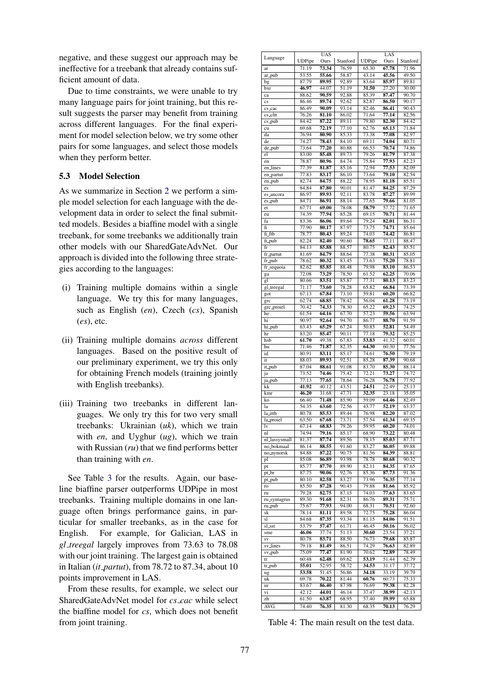negative, and these suggest our approach may be ineffective for a treebank that already contains sufficient amount of data.

Due to time constraints, we were unable to try many language pairs for joint training, but this result suggests the parser may benefit from training across different languages. For the final experiment for model selection below, we try some other pairs for some languages, and select those models when they perform better.

## 5.3 Model Selection

As we summarize in Section 2 we perform a simple model selection for each language with the development data in order to select the final submitted models. Besides a biaffine model with a single treebank, for some treebanks we additionally train other models with our SharedGateAdvNet. Our approach is divided into the following three strategies according to the languages:

- (i) Training multiple domains within a single language. We try this for many languages, such as English (*en*), Czech (*cs*), Spanish (*es*), etc.
- (ii) Training multiple domains *across* different languages. Based on the positive result of our preliminary experiment, we try this only for obtaining French models (training jointly with English treebanks).
- (iii) Training two treebanks in different languages. We only try this for two very small treebanks: Ukrainian (*uk*), which we train with *en*, and Uyghur (*ug*), which we train with Russian (*ru*) that we find performs better than training with *en*.

See Table 3 for the results. Again, our baseline biaffine parser outperforms UDPipe in most treebanks. Training multiple domains in one language often brings performance gains, in particular for smaller treebanks, as in the case for English. For example, for Galician, LAS in *gl treegal* largely improves from 73.63 to 78.08 with our joint training. The largest gain is obtained in Italian (*it partut*), from 78.72 to 87.34, about 10 points improvement in LAS.

From these results, for example, we select our SharedGateAdvNet model for *cs cac* while select the biaffine model for *cs*, which does not benefit from joint training.

|                        |                | <b>UAS</b>     |                |                | LAS            |                |
|------------------------|----------------|----------------|----------------|----------------|----------------|----------------|
| Language               | <b>UDPipe</b>  | Ours           | Stanford       | <b>UDPipe</b>  | Ours           | Stanford       |
| ar                     | 71.19          | 73.34          | 76.59          | 65.30          | 67.78          | 71.96          |
| ar_pub                 | 53.55          | 55.66          | 58.87          | 43.14          | 45.56          | 49.50          |
| bg                     | 87.79          | 89.95          | 92.89          | 83.64          | 85.97          | 89.81          |
| bxr                    | 46.97          | 44.07          | 51.19          | 31.50          | 27.20          | 30.00          |
| ca                     | 88.62          | 90.59          | 92.88          | 85.39          | 87.47          | 90.70          |
| $\mathbf{c}\mathbf{s}$ | 86.46          | 89.74          | 92.62          | 82.87          | 86.50          | 90.17          |
| cs_cac                 | 86.49          | 90.09          | 93.14          | 82.46          | 86.41          | 90.43          |
| cs_cltt                | 76.26          | 81.10          | 86.02          | 71.64          | 77.14          | 82.56          |
| $cs_$ -pub             | 84.42          | 87.22          | 89.11          | 79.80          | 82.30          | 84.42          |
| cu                     | 69.68          | 72.19          | 77.10          | 62.76          | 65.13          | 71.84          |
| da                     | 76.94          | 80.90          | 85.33          | 73.38          | 77.08          | 82.97          |
| de                     | 74.27          | 78.43          | 84.10          | 69.11          | 74.04          | 80.71          |
| de_pub                 | 73.64          | 77.20          | 80.88          | 66.53          | 70.74          | 74.86          |
| el                     | 83.00          | 85.48          | 89.73          | 79.26          | 81.79          | 87.38          |
| en                     | 78.87          | 80.96          | 84.74          | 75.84          | 77.93          | 82.23          |
| en_lines               | 77.39          | 81.87          | 85.16          | 72.94          | 77.53          | 82.09          |
| en_partut              | 77.83          | 83.17          | 86.10          | 73.64          | 79.10          | 82.54          |
| en_pub                 | 82.74          | 84.75          | 88.22          | 78.95          | 81.18          | 85.51          |
| es                     | 84.84          | 87.80          | 90.01          | 81.47          | 84.25          | 87.29          |
| es_ancora              | 86.97          | 89.93          | 92.11          | 83.78          | 87.27          | 89.99          |
| es_pub                 | 84.71          | 86.91          | 88.14          | 77.65          | 79.66          | 81.05          |
|                        | 67.71          | 69.00          | 78.08          | 58.79          | 57.72          | 71.65          |
| et                     | 74.39          | 77.94          | 85.28          | 69.15          |                | 81.44          |
| eu                     |                |                | 89.64          | 79.24          | 70.71<br>82.01 |                |
| fa                     | 83.36<br>77.90 | 86.06          |                |                |                | 86.31          |
| fi                     |                | 80.17          | 87.97<br>89.24 | 73.75          | 74.71          | 85.64          |
| fi_ftb                 | 78.77          | 80.43          |                | 74.03          | 74.42          | 86.81          |
| fi_pub                 | 82.24          | 82.40          | 90.60          | 78.65          | 77.11          | 88.47          |
| fr                     | 84.13          | 85.88          | 88.57          | 80.75          | 82.43          | 85.51          |
| fr_partut              | 81.69          | 84.79          | 88.64          | 77.38          | 80.31          | 85.05          |
| fr_pub                 | 78.62          | 80.32          | 83.45          | 73.63          | 75.20          | 78.81          |
| fr_sequoia             | 82.62          | 85.85          | 88.48          | 79.98          | 83.10          | 86.53          |
| ga                     | 72.08          | 73.29          | 78.50          | 61.52          | 62.25          | 70.06          |
| gl                     | 80.66          | 83.51          | 85.87          | 77.31          | 80.13          | 83.23          |
| gl_treegal             | 71.17          | 73.60          | 78.28          | 65.82          | 66.84          | 73.39          |
| got                    | 67.13          | 67.84          | 73.10          | 59.81          | 60.20          | 66.82          |
| grc                    | 62.74          | 68.85          | 78.42          | 56.04          | 61.28          | 73.19          |
| grc_proiel             | 70.42          | 74.33          | 78.30          | 65.22          | 69.23          | 74.25          |
| he                     | 61.54          | 64.16          | 67.70          | 57.23          | 59.56          | 63.94          |
| hi                     | 90.97          | 92.64          | 94.70          | 86.77          | 88.70          | 91.59          |
| hi_pub                 | 63.43          | 65.29          | 67.24          | 50.85          | 52.81          | 54.49          |
| hr                     | 83.20          | 85.47          | 90.11          | 77.18          | 79.32          | 85.25          |
| hsb                    | 61.70          | 49.38          | 67.83          | 53.83          | 41.32          | 60.01          |
| hu                     | 71.46          | 71.87          | 82.35          | 64.30          | 60.30          | 77.56          |
| id                     | 80.91          | 83.11          | 85.17          | 74.61          | 76.50          | 79.19          |
| it                     | 88.03          | 89.93          | 92.51          | 85.28          | 87.39          | 90.68          |
| it_pub                 | 87.04          | 88.61          | 91.08          | 83.70          | 85.30          | 88.14          |
| ja                     | 73.52          | 74.46          | 75.42          | 72.21          | 73.27          | 74.72          |
| ja_pub                 | 77.13          | 77.65          | 78.64          | 76.28          | 76.78          | 77.92          |
| kk                     | 41.92          | 40.12          | 43.51          | 24.51          | 22.49          | 25.13          |
| kmr                    | 46.20          | 31.68          | 47.71          | 32.35          | 23.18          | 35.05          |
| ko                     | 66.40          | 71.48          | 85.90          | 59.09          | 64.46          | 82.49          |
| la                     | 54.35          | 63.60          | 72.56          | 43.77          | 52.19          | 63.37          |
| la_ittb                | 80.78          |                | 89.44          |                | 82.20          | 87.02          |
|                        |                | 85.53<br>67.68 |                | 76.98          |                |                |
| la_proiel              | 63.50          | 68.83          | 73.71<br>79.26 | 57.54<br>59.95 | 61.34<br>60.20 | 69.35<br>74.01 |
| lv                     | 67.14          |                |                |                |                |                |
| nl                     | 74.94          | 79.16          | 85.17          | 68.90          | 73.22          | 80.48          |
| nl_lassysmall          | 81.37          | 87.74          | 89.56          | 78.15          | 85.03          | 87.71          |
| no_bokmaal             | 86.14          | 88.55          | 91.60          | 83.27          | 86.05          | 89.88          |
| no_nynorsk             | 84.88          | 87.22          | 90.75          | 81.56          | 84.39          | 88.81          |
| pl                     | 85.08          | 86.89          | 93.98          | 78.78          | 80.68          | 90.32          |
| pt                     | 85.77          | 87.70          | 89.90          | 82.11          | 84.35          | 87.65          |
| pt_br                  | 87.75          | 90.06          | 92.76          | 85.36          | 87.73          | 91.36          |
| pt_pub                 | 80.10          | 82.58          | 83.27          | 73.96          | 76.35          | 77.14          |
| ro                     | 85.50          | 87.28          | 90.43          | 79.88          | 81.66          | 85.92          |
| ru                     | 79.28          | 82.75          | 87.15          | 74.03          | 77.63          | 83.65          |
| ru_syntagrus           | 89.30          | 91.68          | 82.31          | 86.76          | 89.31          | 75.71          |
| ru_pub                 | 75.67          | 77.93          | 94.00          | 68.31          | 70.51          | 92.60          |
| sk                     | 78.14          | 81.11          | 89.58          | 72.75          | 75.28          | 86.04          |
| sl                     | 84.68          | 87.35          | 93.34          | 81.15          | 84.06          | 91.51          |
| sl_sst                 | 53.79          | 57.47          | 61.71          | 46.45          | 50.16          | 56.02          |
| sme                    | 46.06          | 37.74          | 51.13          | 30.60          | 23.54          | 37.21          |
| $\mathrm{SV}$          | 80.78          | 83.71          | 88.50          | 76.73          | 79.68          | 85.87          |
| sv_lines               | 79.18          | 81.49          | 86.51          | 74.29          | 76.63          | 82.89          |
| sv_pub                 | 75.09          | 77.47          | 81.90          | 70.62          | 72.89          | 78.49          |
| tr                     | 60.48          | 62.48          | 69.62          | 53.19          | 51.44          | 62.79          |
| tr_pub                 | 55.01          | 52.95          | 58.72          | 34.53          | 31.17          | 37.72          |
| ug                     | 53.58          | 51.45          | 56.86          | 34.18          | 33.19          | 39.79          |
| uk                     | 69.78          | 70.22          | 81.44          | 60.76          | 60.73          | 75.33          |
| ur                     | 83.67          | 86.40          | 87.98          | 76.69          | 79.38          | 82.28          |
| vi                     | 42.12          | 44.01          | 46.14          | 37.47          | 38.99          | 42.13          |
| zh                     | 61.50          | 63.87          | 68.95          | 57.40          | 59.99          | 65.88          |
| AVG.                   | 74.40          | 76.35          | 81.30          | 68.35          | 70.13          | 76.29          |
|                        |                |                |                |                |                |                |

Table 4: The main result on the test data.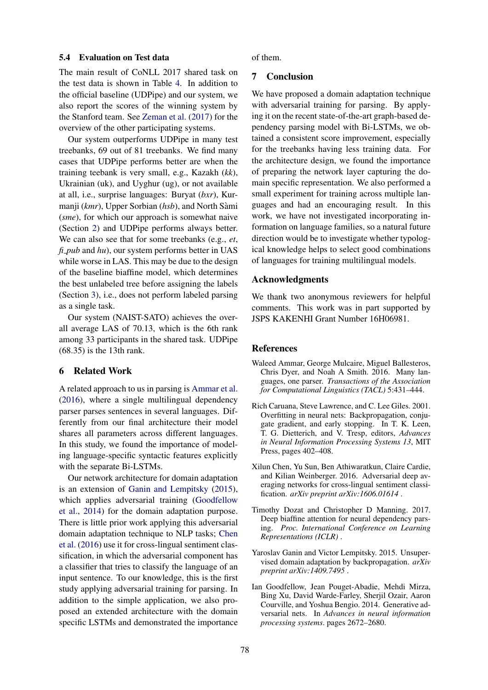#### 5.4 Evaluation on Test data

The main result of CoNLL 2017 shared task on the test data is shown in Table 4. In addition to the official baseline (UDPipe) and our system, we also report the scores of the winning system by the Stanford team. See Zeman et al. (2017) for the overview of the other participating systems.

Our system outperforms UDPipe in many test treebanks, 69 out of 81 treebanks. We find many cases that UDPipe performs better are when the training teebank is very small, e.g., Kazakh (*kk*), Ukrainian (uk), and Uyghur (ug), or not available at all, i.e., surprise languages: Buryat (*bxr*), Kurmanji (*kmr*), Upper Sorbian (*hsb*), and North Sami ` (*sme*), for which our approach is somewhat naive (Section 2) and UDPipe performs always better. We can also see that for some treebanks (e.g., *et*, *fi*<sub>-pub</sub> and *hu*), our system performs better in UAS while worse in LAS. This may be due to the design of the baseline biaffine model, which determines the best unlabeled tree before assigning the labels (Section 3), i.e., does not perform labeled parsing as a single task.

Our system (NAIST-SATO) achieves the overall average LAS of 70.13, which is the 6th rank among 33 participants in the shared task. UDPipe (68.35) is the 13th rank.

## 6 Related Work

A related approach to us in parsing is Ammar et al. (2016), where a single multilingual dependency parser parses sentences in several languages. Differently from our final architecture their model shares all parameters across different languages. In this study, we found the importance of modeling language-specific syntactic features explicitly with the separate Bi-LSTMs.

Our network architecture for domain adaptation is an extension of Ganin and Lempitsky (2015), which applies adversarial training (Goodfellow et al., 2014) for the domain adaptation purpose. There is little prior work applying this adversarial domain adaptation technique to NLP tasks; Chen et al. (2016) use it for cross-lingual sentiment classification, in which the adversarial component has a classifier that tries to classify the language of an input sentence. To our knowledge, this is the first study applying adversarial training for parsing. In addition to the simple application, we also proposed an extended architecture with the domain specific LSTMs and demonstrated the importance of them.

# 7 Conclusion

We have proposed a domain adaptation technique with adversarial training for parsing. By applying it on the recent state-of-the-art graph-based dependency parsing model with Bi-LSTMs, we obtained a consistent score improvement, especially for the treebanks having less training data. For the architecture design, we found the importance of preparing the network layer capturing the domain specific representation. We also performed a small experiment for training across multiple languages and had an encouraging result. In this work, we have not investigated incorporating information on language families, so a natural future direction would be to investigate whether typological knowledge helps to select good combinations of languages for training multilingual models.

#### Acknowledgments

We thank two anonymous reviewers for helpful comments. This work was in part supported by JSPS KAKENHI Grant Number 16H06981.

#### References

- Waleed Ammar, George Mulcaire, Miguel Ballesteros, Chris Dyer, and Noah A Smith. 2016. Many languages, one parser. *Transactions of the Association for Computational Linguistics (TACL)* 5:431–444.
- Rich Caruana, Steve Lawrence, and C. Lee Giles. 2001. Overfitting in neural nets: Backpropagation, conjugate gradient, and early stopping. In T. K. Leen, T. G. Dietterich, and V. Tresp, editors, *Advances in Neural Information Processing Systems 13*, MIT Press, pages 402–408.
- Xilun Chen, Yu Sun, Ben Athiwaratkun, Claire Cardie, and Kilian Weinberger. 2016. Adversarial deep averaging networks for cross-lingual sentiment classification. *arXiv preprint arXiv:1606.01614* .
- Timothy Dozat and Christopher D Manning. 2017. Deep biaffine attention for neural dependency parsing. *Proc. International Conference on Learning Representations (ICLR)* .
- Yaroslav Ganin and Victor Lempitsky. 2015. Unsupervised domain adaptation by backpropagation. *arXiv preprint arXiv:1409.7495* .
- Ian Goodfellow, Jean Pouget-Abadie, Mehdi Mirza, Bing Xu, David Warde-Farley, Sherjil Ozair, Aaron Courville, and Yoshua Bengio. 2014. Generative adversarial nets. In *Advances in neural information processing systems*. pages 2672–2680.